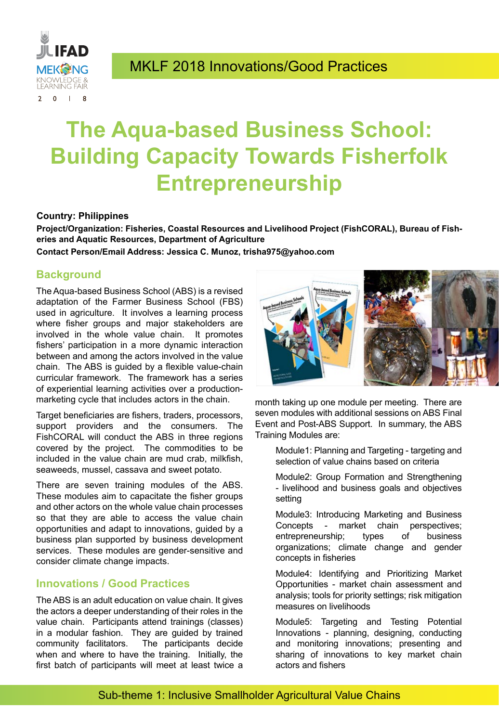

## MKLF 2018 Innovations/Good Practices

# **The Aqua-based Business School: Building Capacity Towards Fisherfolk Entrepreneurship**

#### **Country: Philippines**

**Project/Organization: Fisheries, Coastal Resources and Livelihood Project (FishCORAL), Bureau of Fisheries and Aquatic Resources, Department of Agriculture**

**Contact Person/Email Address: Jessica C. Munoz, trisha975@yahoo.com**

#### **Background**

The Aqua-based Business School (ABS) is a revised adaptation of the Farmer Business School (FBS) used in agriculture. It involves a learning process where fisher groups and major stakeholders are involved in the whole value chain. It promotes fishers' participation in a more dynamic interaction between and among the actors involved in the value chain. The ABS is guided by a flexible value-chain curricular framework. The framework has a series of experiential learning activities over a productionmarketing cycle that includes actors in the chain.

Target beneficiaries are fishers, traders, processors, support providers and the consumers. The FishCORAL will conduct the ABS in three regions covered by the project. The commodities to be included in the value chain are mud crab, milkfish, seaweeds, mussel, cassava and sweet potato.

There are seven training modules of the ABS. These modules aim to capacitate the fisher groups and other actors on the whole value chain processes so that they are able to access the value chain opportunities and adapt to innovations, guided by a business plan supported by business development services. These modules are gender-sensitive and consider climate change impacts.

#### **Innovations / Good Practices**

The ABS is an adult education on value chain. It gives the actors a deeper understanding of their roles in the value chain. Participants attend trainings (classes) in a modular fashion. They are guided by trained community facilitators. The participants decide when and where to have the training. Initially, the first batch of participants will meet at least twice a



month taking up one module per meeting. There are seven modules with additional sessions on ABS Final Event and Post-ABS Support. In summary, the ABS Training Modules are:

 Module1: Planning and Targeting - targeting and selection of value chains based on criteria

 Module2: Group Formation and Strengthening - livelihood and business goals and objectives setting

Module3: Introducing Marketing and Business Concepts - market chain perspectives; entrepreneurship; types of business organizations; climate change and gender concepts in fisheries

Module4: Identifying and Prioritizing Market Opportunities - market chain assessment and analysis; tools for priority settings; risk mitigation measures on livelihoods

 Module5: Targeting and Testing Potential Innovations - planning, designing, conducting and monitoring innovations; presenting and sharing of innovations to key market chain actors and fishers